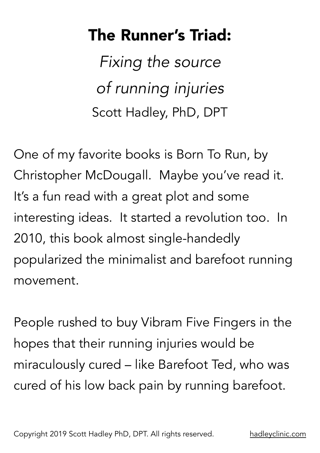## The Runner's Triad:

*Fixing the source of running injuries* Scott Hadley, PhD, DPT

One of my favorite books is Born To Run, by Christopher McDougall. Maybe you've read it. It's a fun read with a great plot and some interesting ideas. It started a revolution too. In 2010, this book almost single-handedly popularized the minimalist and barefoot running movement.

People rushed to buy Vibram Five Fingers in the hopes that their running injuries would be miraculously cured – like Barefoot Ted, who was cured of his low back pain by running barefoot.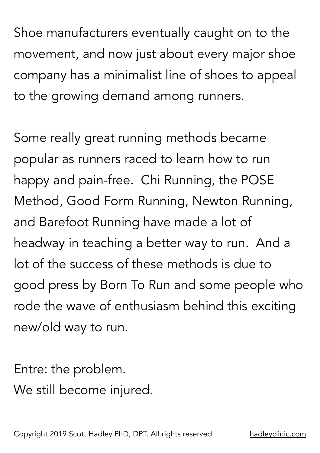Shoe manufacturers eventually caught on to the movement, and now just about every major shoe company has a minimalist line of shoes to appeal to the growing demand among runners.

Some really great running methods became popular as runners raced to learn how to run happy and pain-free. Chi Running, the POSE Method, Good Form Running, Newton Running, and Barefoot Running have made a lot of headway in teaching a better way to run. And a lot of the success of these methods is due to good press by Born To Run and some people who rode the wave of enthusiasm behind this exciting new/old way to run.

Entre: the problem.

We still become injured.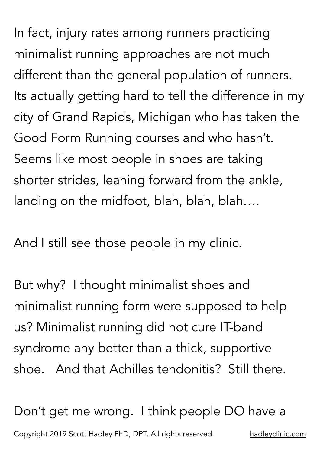In fact, injury rates among runners practicing minimalist running approaches are not much different than the general population of runners. Its actually getting hard to tell the difference in my city of Grand Rapids, Michigan who has taken the Good Form Running courses and who hasn't. Seems like most people in shoes are taking shorter strides, leaning forward from the ankle, landing on the midfoot, blah, blah, blah….

And I still see those people in my clinic.

But why? I thought minimalist shoes and minimalist running form were supposed to help us? Minimalist running did not cure IT-band syndrome any better than a thick, supportive shoe. And that Achilles tendonitis? Still there.

Don't get me wrong. I think people DO have a Copyright 2019 Scott Hadley PhD, DPT. All rights reserved. [hadleyclinic.com](http://hadleyclinic.com)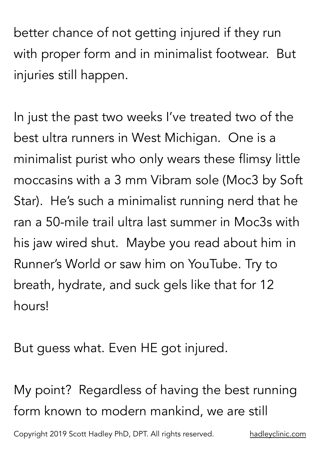better chance of not getting injured if they run with proper form and in minimalist footwear. But injuries still happen.

In just the past two weeks I've treated two of the best ultra runners in West Michigan. One is a minimalist purist who only wears these flimsy little moccasins with a 3 mm Vibram sole (Moc3 by Soft Star). He's such a minimalist running nerd that he ran a 50-mile trail ultra last summer in Moc3s with his jaw wired shut. Maybe you read about him in Runner's World or saw him on YouTube. Try to breath, hydrate, and suck gels like that for 12 hours!

But guess what. Even HE got injured.

My point? Regardless of having the best running form known to modern mankind, we are still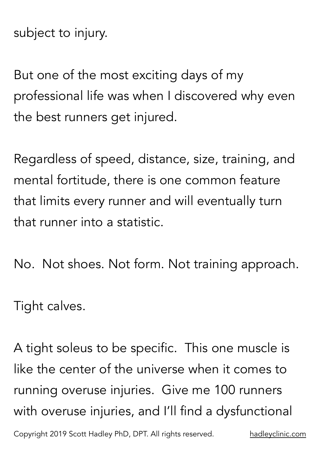subject to injury.

But one of the most exciting days of my professional life was when I discovered why even the best runners get injured.

Regardless of speed, distance, size, training, and mental fortitude, there is one common feature that limits every runner and will eventually turn that runner into a statistic.

No. Not shoes. Not form. Not training approach.

Tight calves.

A tight soleus to be specific. This one muscle is like the center of the universe when it comes to running overuse injuries. Give me 100 runners with overuse injuries, and I'll find a dysfunctional Copyright 2019 Scott Hadley PhD, DPT. All rights reserved. [hadleyclinic.com](http://hadleyclinic.com)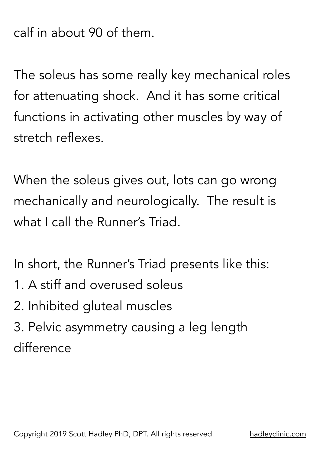calf in about 90 of them.

The soleus has some really key mechanical roles for attenuating shock. And it has some critical functions in activating other muscles by way of stretch reflexes.

When the soleus gives out, lots can go wrong mechanically and neurologically. The result is what I call the Runner's Triad.

In short, the Runner's Triad presents like this:

- 1. A stiff and overused soleus
- 2. Inhibited gluteal muscles
- 3. Pelvic asymmetry causing a leg length difference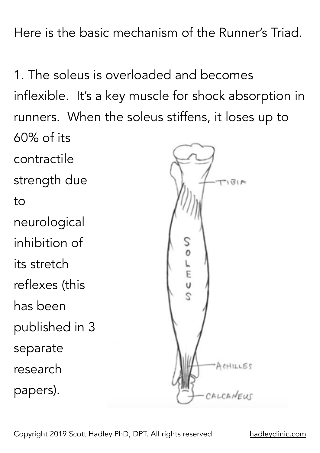Here is the basic mechanism of the Runner's Triad.

1. The soleus is overloaded and becomes inflexible. It's a key muscle for shock absorption in runners. When the soleus stiffens, it loses up to 60% of its contractile strength due  $AB151$ to neurological inhibition of  $C \nrightarrow C$ its stretch reflexes (this  $\overline{c}$ has been published in 3 separate ACHILLES research papers).

Copyright 2019 Scott Hadley PhD, DPT. All rights reserved. [hadleyclinic.com](http://hadleyclinic.com)

ALCANEUS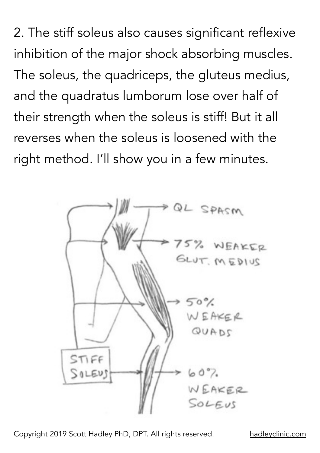2. The stiff soleus also causes significant reflexive inhibition of the major shock absorbing muscles. The soleus, the quadriceps, the gluteus medius, and the quadratus lumborum lose over half of their strength when the soleus is stiff! But it all reverses when the soleus is loosened with the right method. I'll show you in a few minutes.



Copyright 2019 Scott Hadley PhD, DPT. All rights reserved. [hadleyclinic.com](http://hadleyclinic.com)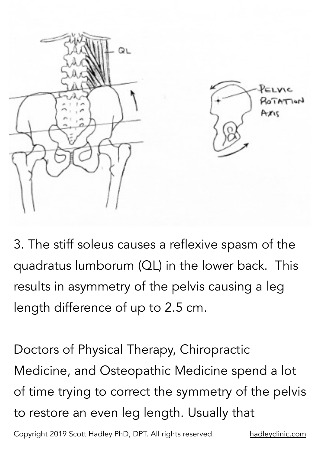



3. The stiff soleus causes a reflexive spasm of the quadratus lumborum (QL) in the lower back. This results in asymmetry of the pelvis causing a leg length difference of up to 2.5 cm.

Doctors of Physical Therapy, Chiropractic Medicine, and Osteopathic Medicine spend a lot of time trying to correct the symmetry of the pelvis to restore an even leg length. Usually that

Copyright 2019 Scott Hadley PhD, DPT. All rights reserved. [hadleyclinic.com](http://hadleyclinic.com)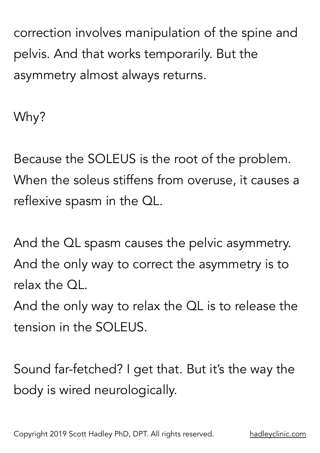correction involves manipulation of the spine and pelvis. And that works temporarily. But the asymmetry almost always returns.

Why?

Because the SOLEUS is the root of the problem. When the soleus stiffens from overuse, it causes a reflexive spasm in the QL.

And the QL spasm causes the pelvic asymmetry. And the only way to correct the asymmetry is to relax the QL.

And the only way to relax the QL is to release the tension in the SOLEUS.

Sound far-fetched? I get that. But it's the way the body is wired neurologically.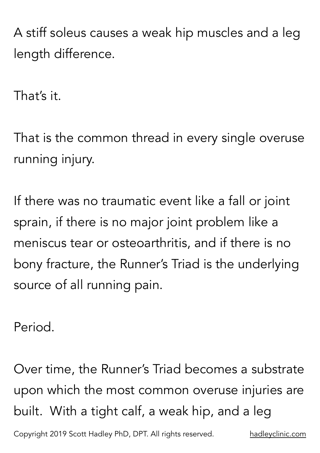A stiff soleus causes a weak hip muscles and a leg length difference.

That's it.

That is the common thread in every single overuse running injury.

If there was no traumatic event like a fall or joint sprain, if there is no major joint problem like a meniscus tear or osteoarthritis, and if there is no bony fracture, the Runner's Triad is the underlying source of all running pain.

Period.

Over time, the Runner's Triad becomes a substrate upon which the most common overuse injuries are built. With a tight calf, a weak hip, and a leg Copyright 2019 Scott Hadley PhD, DPT. All rights reserved. [hadleyclinic.com](http://hadleyclinic.com)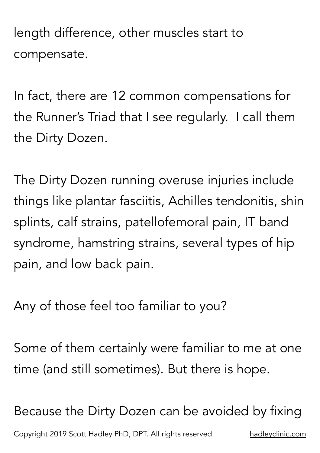length difference, other muscles start to compensate.

In fact, there are 12 common compensations for the Runner's Triad that I see regularly. I call them the Dirty Dozen.

The Dirty Dozen running overuse injuries include things like plantar fasciitis, Achilles tendonitis, shin splints, calf strains, patellofemoral pain, IT band syndrome, hamstring strains, several types of hip pain, and low back pain.

Any of those feel too familiar to you?

Some of them certainly were familiar to me at one time (and still sometimes). But there is hope.

Because the Dirty Dozen can be avoided by fixing Copyright 2019 Scott Hadley PhD, DPT. All rights reserved. [hadleyclinic.com](http://hadleyclinic.com)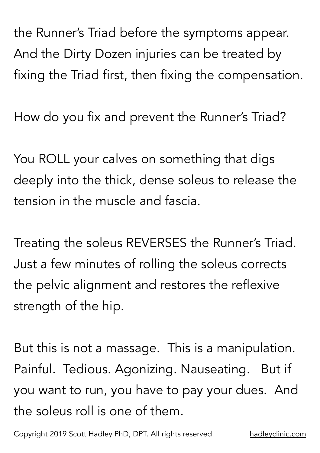the Runner's Triad before the symptoms appear. And the Dirty Dozen injuries can be treated by fixing the Triad first, then fixing the compensation.

How do you fix and prevent the Runner's Triad?

You ROLL your calves on something that digs deeply into the thick, dense soleus to release the tension in the muscle and fascia.

Treating the soleus REVERSES the Runner's Triad. Just a few minutes of rolling the soleus corrects the pelvic alignment and restores the reflexive strength of the hip.

But this is not a massage. This is a manipulation. Painful. Tedious. Agonizing. Nauseating. But if you want to run, you have to pay your dues. And the soleus roll is one of them.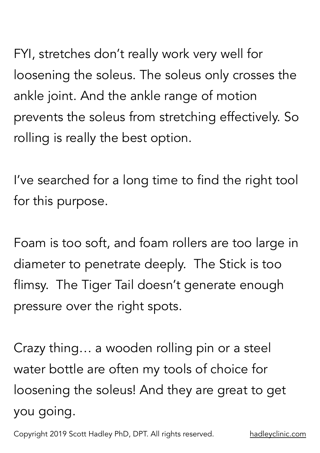FYI, stretches don't really work very well for loosening the soleus. The soleus only crosses the ankle joint. And the ankle range of motion prevents the soleus from stretching effectively. So rolling is really the best option.

I've searched for a long time to find the right tool for this purpose.

Foam is too soft, and foam rollers are too large in diameter to penetrate deeply. The Stick is too flimsy. The Tiger Tail doesn't generate enough pressure over the right spots.

Crazy thing… a wooden rolling pin or a steel water bottle are often my tools of choice for loosening the soleus! And they are great to get you going.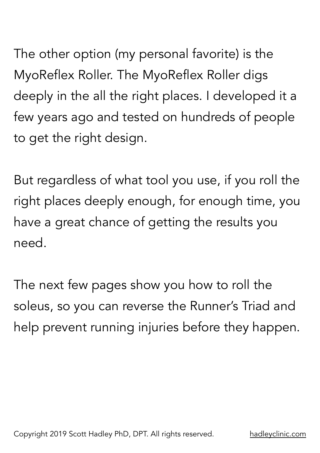The other option (my personal favorite) is the MyoReflex Roller. The MyoReflex Roller digs deeply in the all the right places. I developed it a few years ago and tested on hundreds of people to get the right design.

But regardless of what tool you use, if you roll the right places deeply enough, for enough time, you have a great chance of getting the results you need.

The next few pages show you how to roll the soleus, so you can reverse the Runner's Triad and help prevent running injuries before they happen.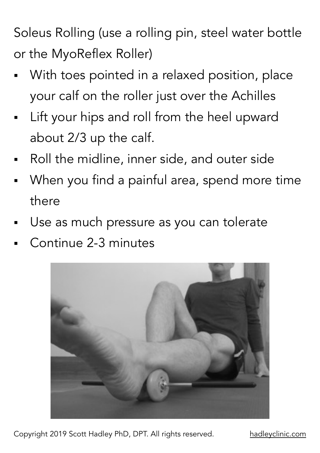Soleus Rolling (use a rolling pin, steel water bottle or the MyoReflex Roller)

- With toes pointed in a relaxed position, place your calf on the roller just over the Achilles
- Lift your hips and roll from the heel upward about 2/3 up the calf.
- Roll the midline, inner side, and outer side
- When you find a painful area, spend more time there
- Use as much pressure as you can tolerate
- Continue 2-3 minutes